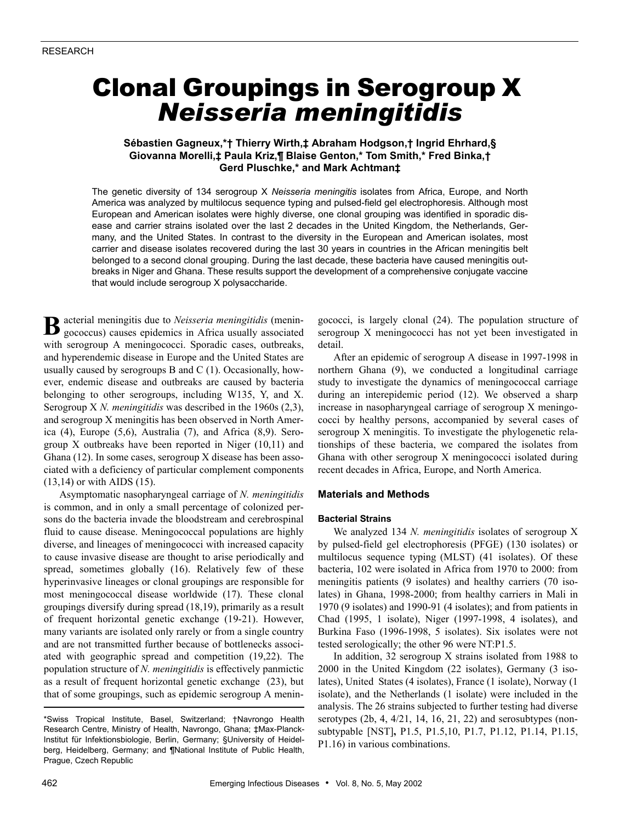# Clonal Groupings in Serogroup X *Neisseria meningitidis*

# **Sébastien Gagneux,\*† Thierry Wirth,‡ Abraham Hodgson,† Ingrid Ehrhard,§ Giovanna Morelli,‡ Paula Kriz,¶ Blaise Genton,\* Tom Smith,\* Fred Binka,† Gerd Pluschke,\* and Mark Achtman‡**

The genetic diversity of 134 serogroup X *Neisseria meningitis* isolates from Africa, Europe, and North America was analyzed by multilocus sequence typing and pulsed-field gel electrophoresis. Although most European and American isolates were highly diverse, one clonal grouping was identified in sporadic disease and carrier strains isolated over the last 2 decades in the United Kingdom, the Netherlands, Germany, and the United States. In contrast to the diversity in the European and American isolates, most carrier and disease isolates recovered during the last 30 years in countries in the African meningitis belt belonged to a second clonal grouping. During the last decade, these bacteria have caused meningitis outbreaks in Niger and Ghana. These results support the development of a comprehensive conjugate vaccine that would include serogroup X polysaccharide.

acterial meningitis due to *Neisseria meningitidis* (meningococcus) causes epidemics in Africa usually associated with serogroup A meningococci. Sporadic cases, outbreaks, and hyperendemic disease in Europe and the United States are usually caused by serogroups  $B$  and  $C(1)$ . Occasionally, however, endemic disease and outbreaks are caused by bacteria belonging to other serogroups, including W135, Y, and X. Serogroup X *N. meningitidis* was described in the 1960s (2,3), and serogroup X meningitis has been observed in North America (4), Europe (5,6), Australia (7), and Africa (8,9). Serogroup X outbreaks have been reported in Niger (10,11) and Ghana (12). In some cases, serogroup X disease has been associated with a deficiency of particular complement components (13,14) or with AIDS (15). **B**

Asymptomatic nasopharyngeal carriage of *N. meningitidis* is common, and in only a small percentage of colonized persons do the bacteria invade the bloodstream and cerebrospinal fluid to cause disease. Meningococcal populations are highly diverse, and lineages of meningococci with increased capacity to cause invasive disease are thought to arise periodically and spread, sometimes globally (16). Relatively few of these hyperinvasive lineages or clonal groupings are responsible for most meningococcal disease worldwide (17). These clonal groupings diversify during spread (18,19), primarily as a result of frequent horizontal genetic exchange (19-21). However, many variants are isolated only rarely or from a single country and are not transmitted further because of bottlenecks associated with geographic spread and competition (19,22). The population structure of *N. meningitidis* is effectively panmictic as a result of frequent horizontal genetic exchange (23), but that of some groupings, such as epidemic serogroup A meningococci, is largely clonal (24). The population structure of serogroup X meningococci has not yet been investigated in detail.

After an epidemic of serogroup A disease in 1997-1998 in northern Ghana (9), we conducted a longitudinal carriage study to investigate the dynamics of meningococcal carriage during an interepidemic period (12). We observed a sharp increase in nasopharyngeal carriage of serogroup X meningococci by healthy persons, accompanied by several cases of serogroup X meningitis. To investigate the phylogenetic relationships of these bacteria, we compared the isolates from Ghana with other serogroup X meningococci isolated during recent decades in Africa, Europe, and North America.

# **Materials and Methods**

## **Bacterial Strains**

We analyzed 134 *N. meningitidis* isolates of serogroup X by pulsed-field gel electrophoresis (PFGE) (130 isolates) or multilocus sequence typing (MLST) (41 isolates). Of these bacteria, 102 were isolated in Africa from 1970 to 2000: from meningitis patients (9 isolates) and healthy carriers (70 isolates) in Ghana, 1998-2000; from healthy carriers in Mali in 1970 (9 isolates) and 1990-91 (4 isolates); and from patients in Chad (1995, 1 isolate), Niger (1997-1998, 4 isolates), and Burkina Faso (1996-1998, 5 isolates). Six isolates were not tested serologically; the other 96 were NT:P1.5.

In addition, 32 serogroup X strains isolated from 1988 to 2000 in the United Kingdom (22 isolates), Germany (3 isolates), United States (4 isolates), France (1 isolate), Norway (1 isolate), and the Netherlands (1 isolate) were included in the analysis. The 26 strains subjected to further testing had diverse serotypes (2b, 4, 4/21, 14, 16, 21, 22) and serosubtypes (nonsubtypable [NST]**,** P1.5, P1.5,10, P1.7, P1.12, P1.14, P1.15, P1.16) in various combinations.

<sup>\*</sup>Swiss Tropical Institute, Basel, Switzerland; †Navrongo Health Research Centre, Ministry of Health, Navrongo, Ghana; ‡Max-Planck-Institut für Infektionsbiologie, Berlin, Germany; §University of Heidelberg, Heidelberg, Germany; and ¶National Institute of Public Health, Prague, Czech Republic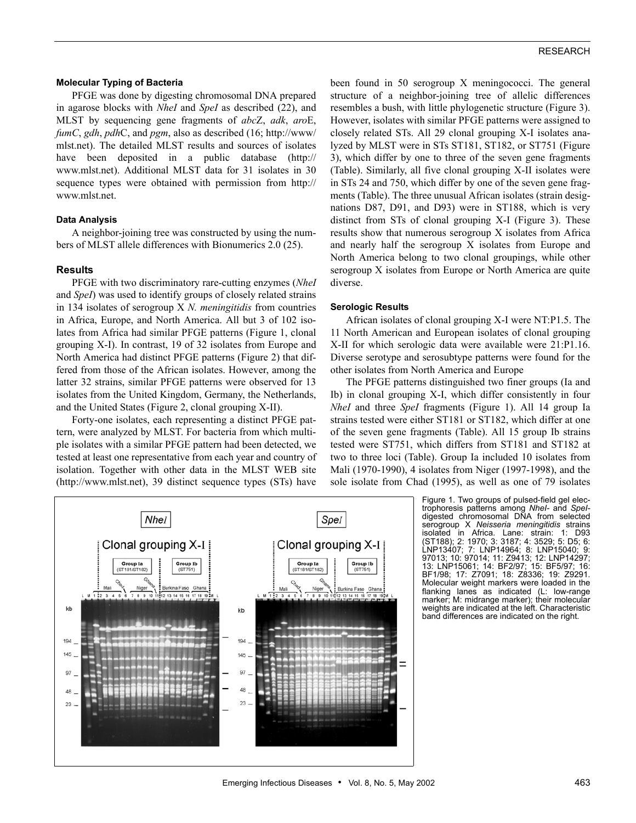## **Molecular Typing of Bacteria**

PFGE was done by digesting chromosomal DNA prepared in agarose blocks with *NheI* and *SpeI* as described (22), and MLST by sequencing gene fragments of *abc*Z, *adk*, *aro*E, *fumC*, *gdh*, *pdh*C, and *pgm*, also as described (16; http://www/ mlst.net). The detailed MLST results and sources of isolates have been deposited in a public database (http:// www.mlst.net). Additional MLST data for 31 isolates in 30 sequence types were obtained with permission from http:// www.mlst.net.

#### **Data Analysis**

A neighbor-joining tree was constructed by using the numbers of MLST allele differences with Bionumerics 2.0 (25).

#### **Results**

PFGE with two discriminatory rare-cutting enzymes (*NheI* and *SpeI*) was used to identify groups of closely related strains in 134 isolates of serogroup X *N. meningitidis* from countries in Africa, Europe, and North America. All but 3 of 102 isolates from Africa had similar PFGE patterns (Figure 1, clonal grouping X-I). In contrast, 19 of 32 isolates from Europe and North America had distinct PFGE patterns (Figure 2) that differed from those of the African isolates. However, among the latter 32 strains, similar PFGE patterns were observed for 13 isolates from the United Kingdom, Germany, the Netherlands, and the United States (Figure 2, clonal grouping X-II).

Forty-one isolates, each representing a distinct PFGE pattern, were analyzed by MLST. For bacteria from which multiple isolates with a similar PFGE pattern had been detected, we tested at least one representative from each year and country of isolation. Together with other data in the MLST WEB site (http://www.mlst.net), 39 distinct sequence types (STs) have

been found in 50 serogroup X meningococci. The general structure of a neighbor-joining tree of allelic differences resembles a bush, with little phylogenetic structure (Figure 3). However, isolates with similar PFGE patterns were assigned to closely related STs. All 29 clonal grouping X-I isolates analyzed by MLST were in STs ST181, ST182, or ST751 (Figure 3), which differ by one to three of the seven gene fragments (Table). Similarly, all five clonal grouping X-II isolates were in STs 24 and 750, which differ by one of the seven gene fragments (Table). The three unusual African isolates (strain designations D87, D91, and D93) were in ST188, which is very distinct from STs of clonal grouping X-I (Figure 3). These results show that numerous serogroup X isolates from Africa and nearly half the serogroup X isolates from Europe and North America belong to two clonal groupings, while other serogroup X isolates from Europe or North America are quite diverse.

#### **Serologic Results**

African isolates of clonal grouping X-I were NT:P1.5. The 11 North American and European isolates of clonal grouping X-II for which serologic data were available were 21:P1.16. Diverse serotype and serosubtype patterns were found for the other isolates from North America and Europe

The PFGE patterns distinguished two finer groups (Ia and Ib) in clonal grouping X-I, which differ consistently in four *NheI* and three *SpeI* fragments (Figure 1). All 14 group Ia strains tested were either ST181 or ST182, which differ at one of the seven gene fragments (Table). All 15 group Ib strains tested were ST751, which differs from ST181 and ST182 at two to three loci (Table). Group Ia included 10 isolates from Mali (1970-1990), 4 isolates from Niger (1997-1998), and the sole isolate from Chad (1995), as well as one of 79 isolates



Figure 1. Two groups of pulsed-field gel electrophoresis patterns among *NheI-* and *SpeI*digested chromosomal DNA from selected serogroup X *Neisseria meningitidis* strains isolated in Africa. Lane: strain: (ST188); 2: 1970; 3: 3187; 4: 3529; 5: D5; 6: LNP13407; 7: LNP14964; 8: LNP15040; 9: 97013; 10: 97014; 11: Z9413; 12: LNP14297; 13: LNP15061; 14: BF2/97; 15: BF5/97; 16: BF1/98; 17: Z7091; 18: Z8336; Molecular weight markers were loaded in the flanking lanes as indicated (L: low-range marker; M: midrange marker); their molecular weights are indicated at the left. Characteristic band differences are indicated on the right.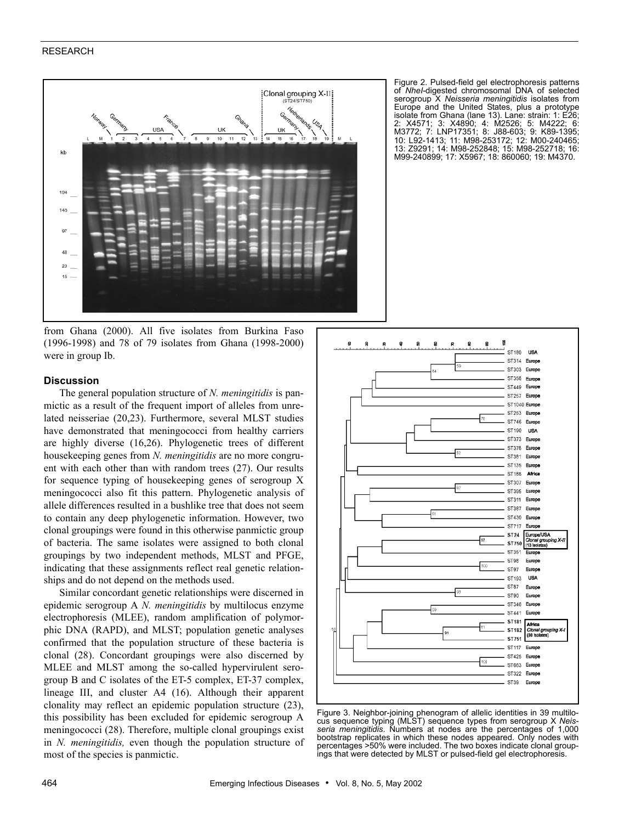## RESEARCH



from Ghana (2000). All five isolates from Burkina Faso (1996-1998) and 78 of 79 isolates from Ghana (1998-2000) were in group Ib.

## **Discussion**

The general population structure of *N. meningitidis* is panmictic as a result of the frequent import of alleles from unrelated neisseriae (20,23). Furthermore, several MLST studies have demonstrated that meningococci from healthy carriers are highly diverse (16,26). Phylogenetic trees of different housekeeping genes from *N. meningitidis* are no more congruent with each other than with random trees (27). Our results for sequence typing of housekeeping genes of serogroup X meningococci also fit this pattern. Phylogenetic analysis of allele differences resulted in a bushlike tree that does not seem to contain any deep phylogenetic information. However, two clonal groupings were found in this otherwise panmictic group of bacteria. The same isolates were assigned to both clonal groupings by two independent methods, MLST and PFGE, indicating that these assignments reflect real genetic relationships and do not depend on the methods used.

Similar concordant genetic relationships were discerned in epidemic serogroup A *N. meningitidis* by multilocus enzyme electrophoresis (MLEE), random amplification of polymorphic DNA (RAPD), and MLST; population genetic analyses confirmed that the population structure of these bacteria is clonal (28). Concordant groupings were also discerned by MLEE and MLST among the so-called hypervirulent serogroup B and C isolates of the ET-5 complex, ET-37 complex, lineage III, and cluster A4 (16). Although their apparent clonality may reflect an epidemic population structure (23), this possibility has been excluded for epidemic serogroup A meningococci (28). Therefore, multiple clonal groupings exist in *N. meningitidis,* even though the population structure of most of the species is panmictic.

Figure 2. Pulsed-field gel electrophoresis patterns of *NheI*-digested chromosomal DNA of selected serogroup X *Neisseria meningitidis* isolates from Europe and the United States, plus a prototype isolate from Ghana (lane 13). Lane: strain: 1: E26; 2: X4571; 3: X4890; 4: M2526; 5: M4222; 6: M3772; 7: LNP17351; 8: J88-603; 9: K89-1395; 10: L92-1413; 11: M98-253172; 12: M00-240465; 13: Z9291; 14: M98-252848; 15: M98-252718; 16: M99-240899; 17: X5967; 18: 860060; 19: M4370.



Figure 3. Neighbor-joining phenogram of allelic identities in 39 multilocus sequence typing (MLST) sequence types from serogroup X *Neisseria meningitidis*. Numbers at nodes are the percentages of 1,000 bootstrap replicates in which these nodes appeared. Only nodes with percentages >50% were included. The two boxes indicate clonal groupings that were detected by MLST or pulsed-field gel electrophoresis.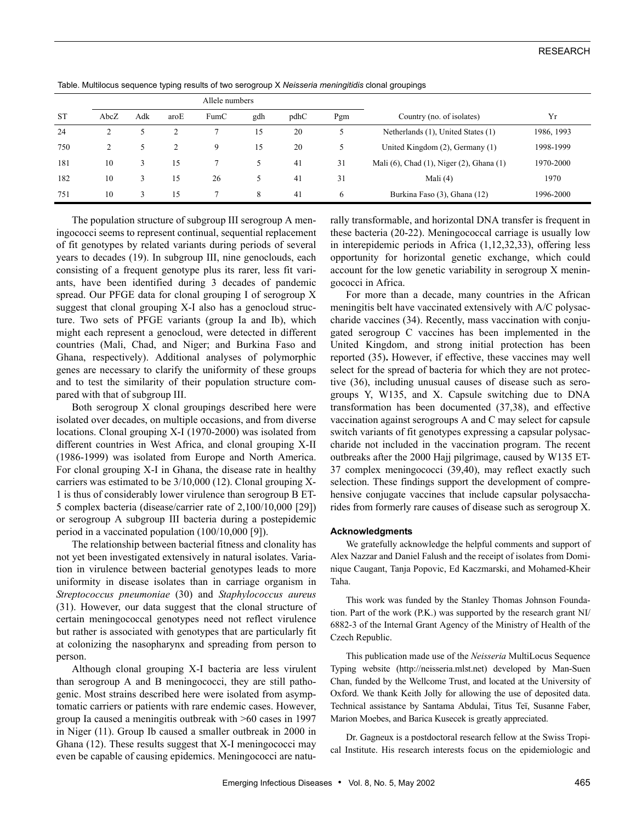|           | Allele numbers |     |      |      |     |      |     |                                          |            |
|-----------|----------------|-----|------|------|-----|------|-----|------------------------------------------|------------|
| <b>ST</b> | AbcZ           | Adk | aroE | FumC | gdh | pdhC | Pgm | Country (no. of isolates)                | Yr         |
| 24        |                |     |      |      | 15  | 20   |     | Netherlands (1), United States (1)       | 1986, 1993 |
| 750       | $\overline{c}$ |     |      | 9    | 15  | 20   |     | United Kingdom $(2)$ , Germany $(1)$     | 1998-1999  |
| 181       | 10             | 3   | 15   |      | 5   | 41   | 31  | Mali (6), Chad (1), Niger (2), Ghana (1) | 1970-2000  |
| 182       | 10             | 3   | 15   | 26   |     | -41  | 31  | Mali $(4)$                               | 1970       |
| 751       | 10             | 3   | 15   |      | 8   | 41   | O   | Burkina Faso (3), Ghana (12)             | 1996-2000  |

The population structure of subgroup III serogroup A meningococci seems to represent continual, sequential replacement of fit genotypes by related variants during periods of several years to decades (19). In subgroup III, nine genoclouds, each consisting of a frequent genotype plus its rarer, less fit variants, have been identified during 3 decades of pandemic spread. Our PFGE data for clonal grouping I of serogroup X suggest that clonal grouping X-I also has a genocloud structure. Two sets of PFGE variants (group Ia and Ib), which might each represent a genocloud, were detected in different countries (Mali, Chad, and Niger; and Burkina Faso and Ghana, respectively). Additional analyses of polymorphic genes are necessary to clarify the uniformity of these groups and to test the similarity of their population structure compared with that of subgroup III.

Both serogroup X clonal groupings described here were isolated over decades, on multiple occasions, and from diverse locations. Clonal grouping X-I (1970-2000) was isolated from different countries in West Africa, and clonal grouping X-II (1986-1999) was isolated from Europe and North America. For clonal grouping X-I in Ghana, the disease rate in healthy carriers was estimated to be 3/10,000 (12). Clonal grouping X-1 is thus of considerably lower virulence than serogroup B ET-5 complex bacteria (disease/carrier rate of 2,100/10,000 [29]) or serogroup A subgroup III bacteria during a postepidemic period in a vaccinated population (100/10,000 [9]).

The relationship between bacterial fitness and clonality has not yet been investigated extensively in natural isolates. Variation in virulence between bacterial genotypes leads to more uniformity in disease isolates than in carriage organism in *Streptococcus pneumoniae* (30) and *Staphylococcus aureus* (31). However, our data suggest that the clonal structure of certain meningococcal genotypes need not reflect virulence but rather is associated with genotypes that are particularly fit at colonizing the nasopharynx and spreading from person to person.

Although clonal grouping X-I bacteria are less virulent than serogroup A and B meningococci, they are still pathogenic. Most strains described here were isolated from asymptomatic carriers or patients with rare endemic cases. However, group Ia caused a meningitis outbreak with >60 cases in 1997 in Niger (11). Group Ib caused a smaller outbreak in 2000 in Ghana (12). These results suggest that X-I meningococci may even be capable of causing epidemics. Meningococci are naturally transformable, and horizontal DNA transfer is frequent in these bacteria (20-22). Meningococcal carriage is usually low in interepidemic periods in Africa (1,12,32,33), offering less opportunity for horizontal genetic exchange, which could account for the low genetic variability in serogroup X meningococci in Africa.

For more than a decade, many countries in the African meningitis belt have vaccinated extensively with A/C polysaccharide vaccines (34). Recently, mass vaccination with conjugated serogroup C vaccines has been implemented in the United Kingdom, and strong initial protection has been reported (35)**.** However, if effective, these vaccines may well select for the spread of bacteria for which they are not protective (36), including unusual causes of disease such as serogroups Y, W135, and X. Capsule switching due to DNA transformation has been documented (37,38), and effective vaccination against serogroups A and C may select for capsule switch variants of fit genotypes expressing a capsular polysaccharide not included in the vaccination program. The recent outbreaks after the 2000 Hajj pilgrimage, caused by W135 ET-37 complex meningococci (39,40), may reflect exactly such selection. These findings support the development of comprehensive conjugate vaccines that include capsular polysaccharides from formerly rare causes of disease such as serogroup X.

#### **Acknowledgments**

We gratefully acknowledge the helpful comments and support of Alex Nazzar and Daniel Falush and the receipt of isolates from Dominique Caugant, Tanja Popovic, Ed Kaczmarski, and Mohamed-Kheir Taha.

This work was funded by the Stanley Thomas Johnson Foundation. Part of the work (P.K.) was supported by the research grant NI/ 6882-3 of the Internal Grant Agency of the Ministry of Health of the Czech Republic.

This publication made use of the *Neisseria* MultiLocus Sequence Typing website (http://neisseria.mlst.net) developed by Man-Suen Chan, funded by the Wellcome Trust, and located at the University of Oxford. We thank Keith Jolly for allowing the use of deposited data. Technical assistance by Santama Abdulai, Titus Teï, Susanne Faber, Marion Moebes, and Barica Kusecek is greatly appreciated.

Dr. Gagneux is a postdoctoral research fellow at the Swiss Tropical Institute. His research interests focus on the epidemiologic and